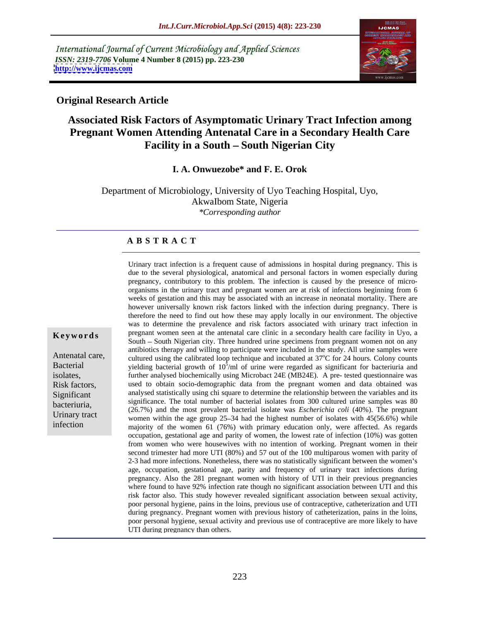International Journal of Current Microbiology and Applied Sciences *ISSN: 2319-7706* **Volume 4 Number 8 (2015) pp. 223-230 <http://www.ijcmas.com>**



## **Original Research Article**

# **Associated Risk Factors of Asymptomatic Urinary Tract Infection among Pregnant Women Attending Antenatal Care in a Secondary Health Care**  Facility in a South - South Nigerian City

### **I. A. Onwuezobe\* and F. E. Orok**

Department of Microbiology, University of Uyo Teaching Hospital, Uyo, AkwaIbom State, Nigeria *\*Corresponding author*

### **A B S T R A C T**

Urinary tract infection is a frequent cause of admissions in hospital during pregnancy. This is due to the several physiological, anatomical and personal factors in women especially during pregnancy, contributory to this problem. The infection is caused by the presence of micro organisms in the urinary tract and pregnant women are at risk of infections beginning from 6 weeks of gestation and this may be associated with an increase in neonatal mortality. There are however universally known risk factors linked with the infection during pregnancy. There is therefore the need to find out how these may apply locally in our environment. The objective was to determine the prevalence and risk factors associated with urinary tract infection in **Keywords** pregnant women seen at the antenatal care clinic in a secondary health care facility in Uyo, a **Keywords** South – South Nigerian city. Three hundred urine specimens from pregnant women not on any antibiotics therapy and willing to participate were included in the study. All urine samples were Antenatal care,<br>cultured using the calibrated loop technique and incubated at 37<sup>°</sup>C for 24 hours. Colony counts oC for 24 hours. Colony counts Bacterial spinfurther analysed biochemically using Microbact 24E (MB24E). A pre- tested questionnaire was isolates, Risk factors, used to obtain socio-demographic data from the pregnant women and data obtained was Significant analysed statistically using chi square to determine the relationship between the variables and its significance. The total number of bacterial isolates from 300 cultured urine samples was 80 bacteriuria,<br>(26.7%) and the most prevalent bacterial isolate was *Escherichia coli* (40%). The pregnant background bacterial isolate was *Escherichia coli* (40%). The pregnant Urinary tract women within the age group  $25-34$  had the highest number of isolates with  $45(56.6%)$  while majority of the women 61 (76%) with primary education only, were affected. As regards occupation, gestational age and parity of women, the lowest rate of infection (10%) was gotten from women who were housewives with no intention of working. Pregnant women in their second trimester had more UTI (80%) and 57 out of the 100 multiparous women with parity of 2-3 had more infections. Nonetheless, there was no statistically significant between the women's age, occupation, gestational age, parity and frequency of urinary tract infections during pregnancy. Also the 281 pregnant women with history of UTI in their previous pregnancies where found to have 92% infection rate though no significant association between UTI and this risk factor also. This study however revealed significant association between sexual activity, poor personal hygiene, pains in the loins, previous use of contraceptive, catheterization and UTI during pregnancy. Pregnant women with previous history of catheterization, pains in the loins, poor personal hygiene, sexual activity and previous use of contraceptive are more likely to have UTI during pregnancy than others.

infection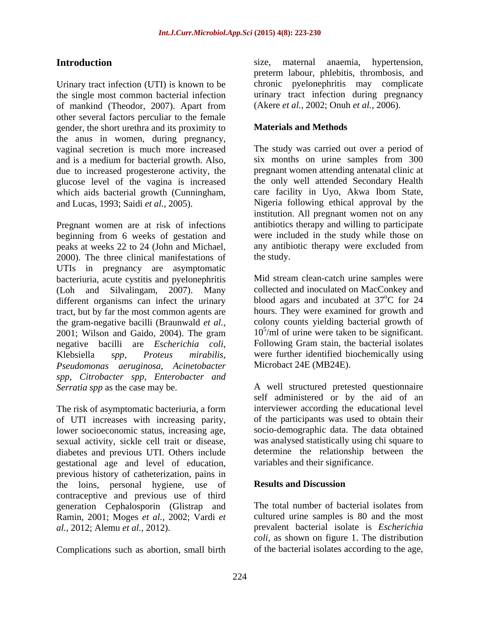Urinary tract infection (UTI) is known to be the single most common bacterial infection of mankind (Theodor, 2007). Apart from other several factors perculiar to the female gender, the short urethra and its proximity to **Materials and Methods** the anus in women, during pregnancy, vaginal secretion is much more increased and is a medium for bacterial growth. Also, due to increased progesterone activity, the which aids bacterial growth (Cunningham,

Pregnant women are at risk of infections beginning from 6 weeks of gestation and peaks at weeks 22 to 24 (John and Michael, 2000). The three clinical manifestations of the study. UTIs in pregnancy are asymptomatic bacteriuria, acute cystitis and pyelonephritis (Loh and Silvalingam, 2007). Many different organisms can infect the urinary tract, but by far the most common agents are the gram-negative bacilli (Braunwald *et al.,* 2001; Wilson and Gaido, 2004). The gram negative bacilli are *Escherichia coli*, Klebsiella <sup>s</sup>*pp, Proteus mirabilis, Pseudomonas aeruginosa, Acinetobacter spp, Citrobacter spp, Enterobacter and Serratia spp* as the case may be. A well structured pretested questionnaire

The risk of asymptomatic bacteriuria, a form of UTI increases with increasing parity, lower socioeconomic status, increasing age, sexual activity, sickle cell trait or disease, diabetes and previous UTI. Others include gestational age and level of education, previous history of catheterization, pains in<br>the loins personal hygiene use of **Results and Discussion** the loins, personal hygiene, use of contraceptive and previous use of third generation Cephalosporin (Glistrap and Ramin, 2001; Moges *et al.,* 2002; Vardi *et* 

Complications such as abortion, small birth

Introduction size, maternal anaemia, hypertension, size, maternal anaemia, hypertension, preterm labour, phlebitis, thrombosis, and chronic pyelonephritis may complicate urinary tract infection during pregnancy (Akere *et al.,* 2002; Onuh *et al.,* 2006).

## **Materials and Methods**

glucose level of the vagina is increased the only well attended Secondary Health and Lucas, 1993; Saidi *et al.,* 2005). Nigeria following ethical approval by the The study was carried out over a period of six months on urine samples from 300 pregnant women attending antenatal clinic at care facility in Uyo, Akwa Ibom State, institution. All pregnant women not on any antibiotics therapy and willing to participate were included in the study while those on any antibiotic therapy were excluded from the study.

> Mid stream clean-catch urine samples were collected and inoculated on MacConkey and blood agars and incubated at 37<sup>o</sup>C for 24 oC for 24 hours. They were examined for growth and colony counts yielding bacterial growth of 10<sup>5</sup> /ml of urine were taken to be significant. Following Gram stain, the bacterial isolates were further identified biochemically using Microbact 24E (MB24E).

self administered or by the aid of an interviewer according the educational level of the participants was used to obtain their socio-demographic data. The data obtained was analysed statistically using chi square to determine the relationship between the variables and their significance.

## **Results and Discussion**

*al.,* 2012; Alemu *et al.,* 2012). prevalent bacterial isolate is *Escherichia*  The total number of bacterial isolates from cultured urine samples is 80 and the most *coli,* as shown on figure 1. The distribution of the bacterial isolates according to the age,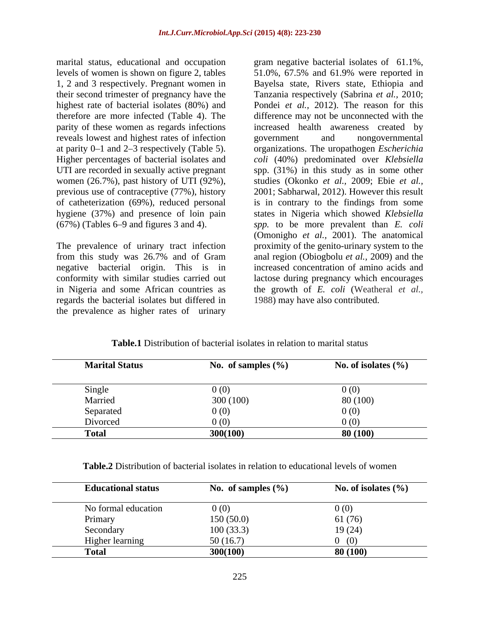marital status, educational and occupation gram negative bacterial isolates of 61.1%, 1, 2 and 3 respectively. Pregnant women in reveals lowest and highest rates of infection women (26.7%), past history of UTI (92%), previous use of contraceptive (77%), history hygiene (37%) and presence of loin pain

from this study was 26.7% and of Gram negative bacterial origin. This is in regards the bacterial isolates but differed in the prevalence as higher rates of urinary

levels of women is shown on figure 2, tables 51.0%, 67.5% and 61.9% were reported in their second trimester of pregnancy have the Tanzania respectively (Sabrina *et al.,* 2010; highest rate of bacterial isolates (80%) and Pondei *et al.,* 2012). The reason for this therefore are more infected (Table 4). The difference may not be unconnected with the parity of these women as regards infections increased health awareness created by at parity 0–1 and 2–3 respectively (Table 5). organizations. The uropathogen *Escherichia* Higher percentages of bacterial isolates and  $\frac{1}{2}$  *coli* (40%) predominated over *Klebsiella* UTI are recorded in sexually active pregnant spp. (31%) in this study as in some other of catheterization (69%), reduced personal is in contrary to the findings from some (67%) (Tables 6–9 and figures 3 and 4). <br> *spp.* to be more prevalent than *E. coli*<br>
(Omonigho *et al.*, 2001). The anatomical<br>
The prevalence of urinary tract infection proximity of the genito-urinary system to the conformity with similar studies carried out lactose during pregnancy which encourages in Nigeria and some African countries as the growth of *E. coli* (Weatheral *etal.,* Bayelsa state, Rivers state, Ethiopia and government and nongovernmental studies (Okonko *et al.,* 2009; Ebie *et al.,* 2001; Sabharwal, 2012). However this result states in Nigeria which showed *Klebsiella spp.* to be more prevalent than *E. coli* (Omonigho *et al.,* 2001). The anatomical proximity of the genito-urinary system to the anal region (Obiogbolu *et al.,* 2009) and the increased concentration of amino acids and 1988) may have also contributed.

| <b>Marital Status</b> | No. of samples $(\% )$ | No. of isolates $(\% )$ |
|-----------------------|------------------------|-------------------------|
| Single                | 0(0)                   | 0(0)                    |
| Married               | 300(100)               | 80 (100)                |
| Separated             | 0(0)                   | 0(0)                    |
| Divorced              | 0(0)                   | 0(0)                    |
| <b>Total</b>          | 300(100)               | 80(100)                 |

## **Table.1** Distribution of bacterial isolates in relation to marital status

**Table.2** Distribution of bacterial isolates in relation to educational levels of women

| <b>Educational status</b> | No. of samples $(\% )$ | No. of isolates $(\% )$ |
|---------------------------|------------------------|-------------------------|
| No formal education       | 0(0)                   | 0(0)                    |
| Primary                   | 150(50.0)              | 61 (76)                 |
| Secondary                 | 100(33.3)              | 19 (24)                 |
| Higher learning           | 50(16.7)               | (0)                     |
| <b>Total</b>              | 300(100)               | 80 (100)                |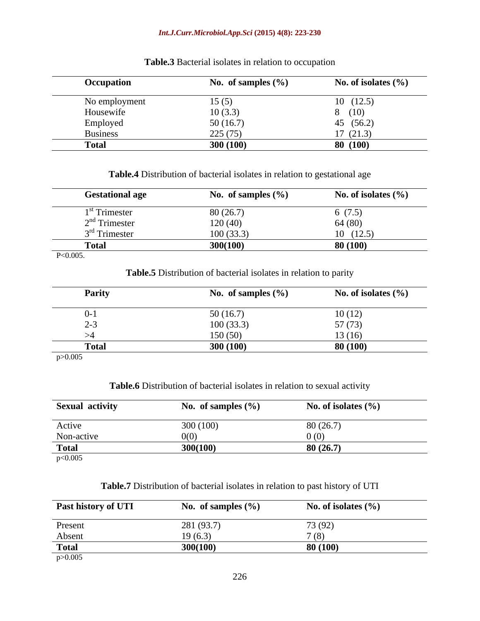### *Int.J.Curr.Microbiol.App.Sci* **(2015) 4(8): 223-230**

| <b>Occupation</b> | No. of samples $(\% )$ | No. of isolates $(\%$ |
|-------------------|------------------------|-----------------------|
| No employment     | 15(5)                  | (12.5)<br>10          |
| Housewife         | 10(3.3)                | 8(10)                 |
| Employed          | 50(16.7)               | 45 $(56.2)$           |
| <b>Business</b>   | 225(75)                | 17(21.3)              |
| <b>Total</b>      | 300 (100)              | 80(100)               |

**Table.3** Bacterial isolates in relation to occupation

**Table.4** Distribution of bacterial isolates in relation to gestational age

| <b>Gestational age</b>  | No. of samples $(\% )$ | No. of isolates $(\% )$ |
|-------------------------|------------------------|-------------------------|
| <sup>st</sup> Trimester | 80(26.7)               | $\sqrt{2}$<br>6(7.5)    |
| $2nd$ Trimester         | 120(40)                | 64(80)                  |
| $3rd$ Trimester         | 100(33.3)              | 10<br>(12.5)            |
| <b>Total</b>            | 300(100)               | 80(100)                 |
| $P<0.005$ .             |                        |                         |

**Table.5** Distribution of bacterial isolates in relation to parity

| <b>Parity</b>        | No. of samples $(\%$ | No. of isolates $(\% )$ |
|----------------------|----------------------|-------------------------|
| $U$ - $\lambda$      | 50(16.7)             | 10(12)                  |
| $\sim$ $\sim$<br>∸ ~ | 100(33.3)            | 57 (73)                 |
|                      | 150(50)              | 13(16)                  |
| <b>Total</b>         | 300 (100)            | 80 (100)                |
| p > 0.005            |                      |                         |

| <b>Table.6 Dist</b><br>istribution of bacterial isolates in relation to sexual activity |  |  |  |
|-----------------------------------------------------------------------------------------|--|--|--|
|                                                                                         |  |  |  |

| <b>Sexual activity</b> | No. of samples $(\%$ | No. of isolates $(\% )$ |
|------------------------|----------------------|-------------------------|
| Active                 | 300 (100)            | 80(26.7)                |
| Non-active             | 0(0)                 | 0(0)                    |
| <b>Total</b>           | 300(100)             | 80(26.7)                |
| p<0.005                |                      |                         |

**Table.7** Distribution of bacterial isolates in relation to past history of UTI

| Past history of UTI | No. of samples $(\% )$ | No. of isolates $(\% )$ |
|---------------------|------------------------|-------------------------|
| Present             | 281 (93.7)             | 73 (92)                 |
| Absent              | 19(6.3)                | 7(8)                    |
| <b>Total</b>        | 300(100)               | 80(100)                 |

p>0.005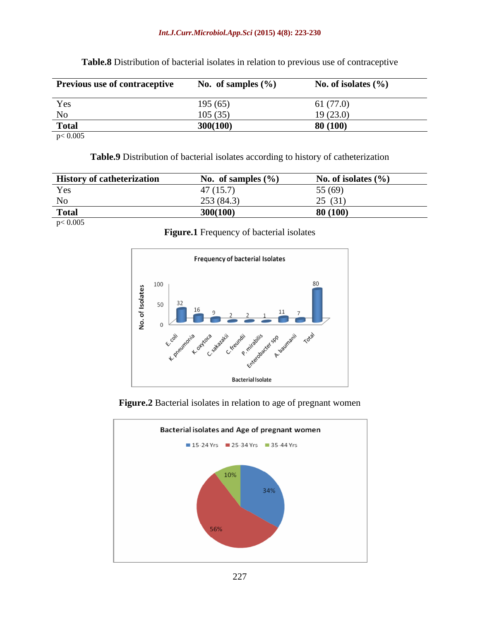### *Int.J.Curr.Microbiol.App.Sci* **(2015) 4(8): 223-230**

| <b>Previous use of contraceptive</b> | No. of samples $(\% )$ | No. of isolates $(\% )$ |
|--------------------------------------|------------------------|-------------------------|
| Yes                                  | 195(65)                | 61(77.0)                |
| $\rm No$                             | 105(35)                | 19(23.0)                |
| <b>Total</b>                         | 300(100)               | 80(100)                 |
| p < 0.005                            |                        |                         |

**Table.8** Distribution of bacterial isolates in relation to previous use of contraceptive

**Table.9** Distribution of bacterial isolates according to history of catheterization

| <b>History of catheterization</b> | $\sim$<br>. of samples $(\% )$<br>. | $\sqrt{2}$<br>isolates (%   |
|-----------------------------------|-------------------------------------|-----------------------------|
| <b>Yes</b>                        | $\sim$                              | 5(69)<br>ັັ                 |
| N <sub>o</sub>                    | 25:<br>(84.5)                       | $\sim$ $\sim$ $\sim$ $\sim$ |
| <b>Tota</b>                       | 300(100)                            | 80 (100)                    |

p< 0.005

**Figure.1** Frequency of bacterial isolates



**Figure.2** Bacterial isolates in relation to age of pregnant women

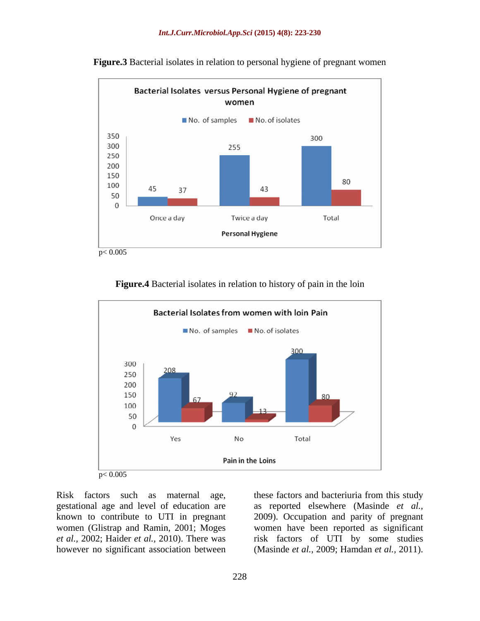

**Figure.3** Bacterial isolates in relation to personal hygiene of pregnant women



**Figure.4** Bacterial isolates in relation to history of pain in the loin

however no significant association between (Masinde *et al.,* 2009; Hamdan *et al.,* 2011).

Risk factors such as maternal age, these factors and bacteriuria from this study gestational age and level of education are as reported elsewhere (Masinde *et al.,* known to contribute to UTI in pregnant 2009). Occupation and parity of pregnant women (Glistrap and Ramin, 2001; Moges women have been reported as significant *et al.,* 2002; Haider *et al.,* 2010). There was risk factors of UTI by some studies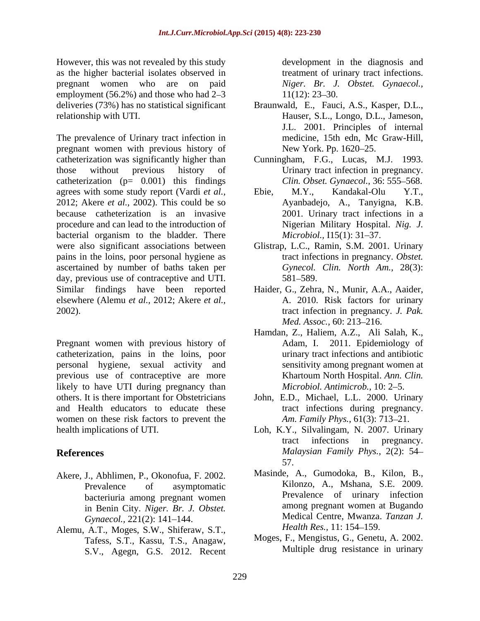However, this was not revealed by this study as the higher bacterial isolates observed in pregnant women who are on paid *Niger. Br. J. Obstet. Gynaecol.,* employment (56.2%) and those who had  $2-3$  11(12): 23-30.

The prevalence of Urinary tract infection in medicine, 15th edn, Mc Graw-Hill, pregnant women with previous history of New York. Pp. 1620–25. catheterization was significantly higher than Cunningham, F.G., Lucas, M.J. 1993. those without previous history of Urinary tract infection in pregnancy. catheterization  $(p= 0.001)$  this findings agrees with some study report (Vardi *et al.*, Ebie, M.Y., Kandakal-Olu Y.T., 2012; Akere *et al.*, 2002). This could be so Ayanbadejo, A., Tanyigna, K.B. 2012; Akere *et al.,* 2002). This could be so because catheterization is an invasive procedure and can lead to the introduction of bacterial organism to the bladder. There *Microbiol*., I15(1): 31–37. were also significant associations between Glistrap, L.C., Ramin, S.M. 2001. Urinary pains in the loins, poor personal hygiene as ascertained by number of baths taken per day, previous use of contraceptive and UTI. 581–589. Similar findings have been reported Haider, G., Zehra, N., Munir, A.A., Aaider, elsewhere (Alemu *et al.,* 2012; Akere *et al.,* 2002). tract infection in pregnancy. *J. Pak.*

Pregnant women with previous history of catheterization, pains in the loins, poor personal hygiene, sexual activity and previous use of contraceptive are more<br>Khartoum North Hospital. Ann. Clin. likely to have UTI during pregnancy than others. It is there important for Obstetricians John, E.D., Michael, L.L. 2000. Urinary and Health educators to educate these women on these risk factors to prevent the health implications of UTI. Loh, K.Y., Silvalingam, N. 2007. Urinary

- Akere, J., Abhlimen, P., Okonofua, F. 2002. bacteriuria among pregnant women in Benin City. *Niger. Br. J. Obstet.*
- Alemu, A.T., Moges, S.W., Shiferaw, S.T., Tafess, S.T., Kassu, T.S., Anagaw, S.V., Agegn, G.S. 2012. Recent

development in the diagnosis and treatment of urinary tract infections.  $11(12): 23-30.$ 

- deliveries (73%) has no statistical significant Braunwald, E., Fauci, A.S., Kasper, D.L., relationship with UTI. Hauser, S.L., Longo, D.L., Jameson, J.L. 2001. Principles of internal medicine, 15th edn, Mc Graw-Hill,<br>New York. Pp. 1620–25.
	- *Clin. Obset. Gynaecol., 36: 555-568.*
	- Ebie, M.Y., Kandakal-Olu Y.T., Ayanbadejo, A., Tanyigna, K.B. 2001. Urinary tract infections in a Nigerian Military Hospital. *Nig. J. Microbiol.,* I15(1): 31–37.
	- tract infections in pregnancy. *Obstet. Gynecol. Clin. North Am.,* 28(3): 581–589.
	- A. 2010. Risk factors for urinary *Med. Assoc.,* 60: 213–216.
	- Hamdan, Z., Haliem, A.Z., Ali Salah, K., Adam, I. 2011. Epidemiology of urinary tract infections and antibiotic sensitivity among pregnant women at Khartoum North Hospital. *Ann. Clin. Microbiol. Antimicrob., 10: 2-5.*
	- tract infections during pregnancy. *Am. Family Phys.*, 61(3): 713-21.
- **References** *Malaysian Family Phys.*, 2(2): 54 tract infections in pregnancy. 57.
	- Prevalence of asymptomatic **KILONES** KILONES, A., MShana, S.E. 2009. *Gynaecol.,* 221(2): 141–144. **Medical Centre, Mwanza.**<br>A T. Moges S.W. Shifaraw S.T. *Health Res.*, 11: 154–159. Masinde, A., Gumodoka, B., Kilon, B., Kilonzo, A., Mshana, S.E. 2009. Prevalence of urinary infection among pregnant women at Bugando Medical Centre, Mwanza. *Tanzan J. Health Res.,* 11: 154–159.
		- Moges, F., Mengistus, G., Genetu, A. 2002. Multiple drug resistance in urinary